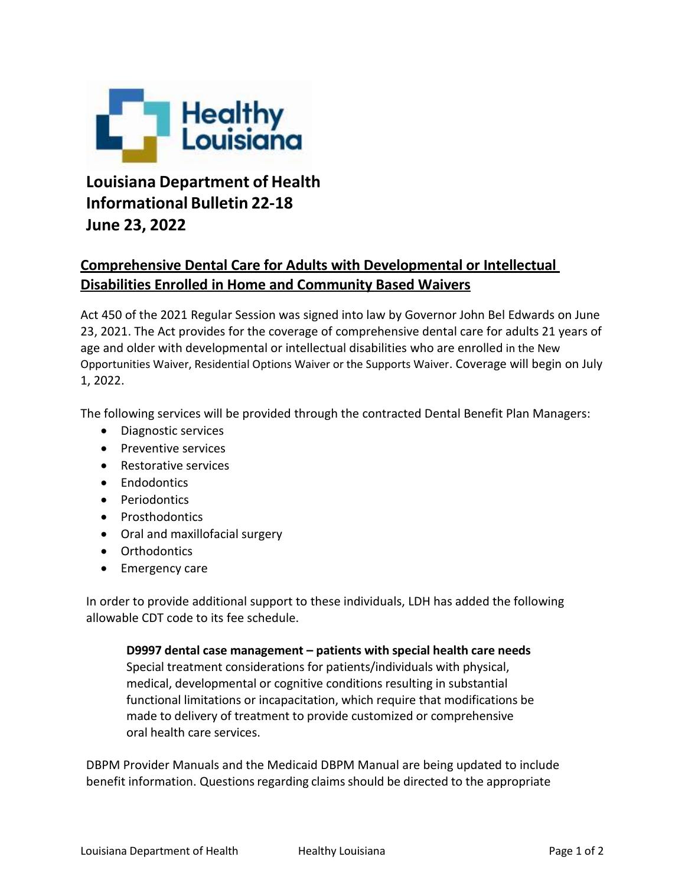

## **Louisiana Department of Health Informational Bulletin 22-18 June 23, 2022**

## **Comprehensive Dental Care for Adults with Developmental or Intellectual Disabilities Enrolled in Home and Community Based Waivers**

Act 450 of the 2021 Regular Session was signed into law by Governor John Bel Edwards on June 23, 2021. The Act provides for the coverage of comprehensive dental care for adults 21 years of age and older with developmental or intellectual disabilities who are enrolled in the New Opportunities Waiver, Residential Options Waiver or the Supports Waiver. Coverage will begin on July 1, 2022.

The following services will be provided through the contracted Dental Benefit Plan Managers:

- Diagnostic services
- Preventive services
- Restorative services
- **Endodontics**
- Periodontics
- Prosthodontics
- Oral and maxillofacial surgery
- Orthodontics
- Emergency care

In order to provide additional support to these individuals, LDH has added the following allowable CDT code to its fee schedule.

**D9997 dental case management – patients with special health care needs** Special treatment considerations for patients/individuals with physical, medical, developmental or cognitive conditions resulting in substantial functional limitations or incapacitation, which require that modifications be made to delivery of treatment to provide customized or comprehensive oral health care services.

DBPM Provider Manuals and the Medicaid DBPM Manual are being updated to include benefit information. Questions regarding claims should be directed to the appropriate